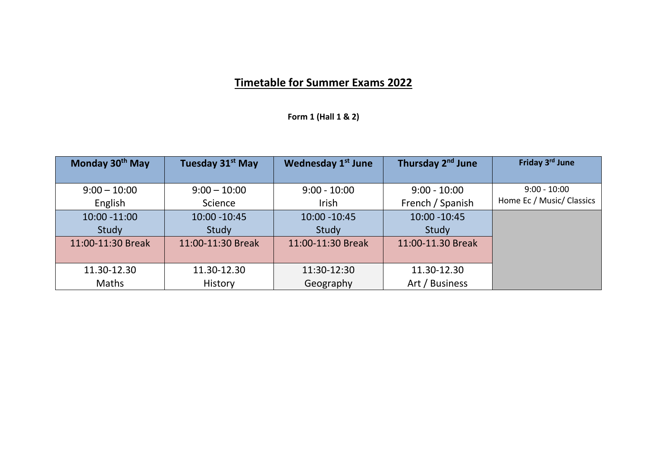## **Timetable for Summer Exams 2022**

**Form 1 (Hall 1 & 2)**

| Monday 30 <sup>th</sup> May | Tuesday 31 <sup>st</sup> May | <b>Wednesday 1st June</b> | Thursday 2 <sup>nd</sup> June | Friday 3rd June           |
|-----------------------------|------------------------------|---------------------------|-------------------------------|---------------------------|
|                             |                              |                           |                               |                           |
| $9:00 - 10:00$              | $9:00 - 10:00$               | $9:00 - 10:00$            | $9:00 - 10:00$                | $9:00 - 10:00$            |
| English                     | Science                      | Irish                     | French / Spanish              | Home Ec / Music/ Classics |
| 10:00 -11:00                | 10:00 - 10:45                | $10:00 - 10:45$           | 10:00 - 10:45                 |                           |
| Study                       | Study                        | Study                     | Study                         |                           |
| 11:00-11:30 Break           | 11:00-11:30 Break            | 11:00-11:30 Break         | 11:00-11.30 Break             |                           |
|                             |                              |                           |                               |                           |
| 11.30-12.30                 | 11.30-12.30                  | 11:30-12:30               | 11.30-12.30                   |                           |
| <b>Maths</b>                | <b>History</b>               | Geography                 | Art / Business                |                           |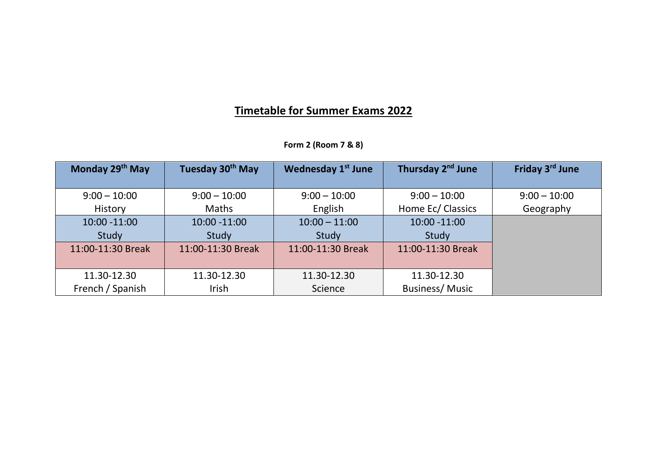## **Timetable for Summer Exams 2022**

| Form 2 (Room 7 & 8) |  |  |  |  |  |
|---------------------|--|--|--|--|--|
|---------------------|--|--|--|--|--|

| Monday 29th May   | Tuesday 30 <sup>th</sup> May | <b>Wednesday 1st June</b> | Thursday 2 <sup>nd</sup> June | Friday 3 <sup>rd</sup> June |
|-------------------|------------------------------|---------------------------|-------------------------------|-----------------------------|
|                   |                              |                           |                               |                             |
| $9:00 - 10:00$    | $9:00 - 10:00$               | $9:00 - 10:00$            | $9:00 - 10:00$                | $9:00 - 10:00$              |
| History           | Maths                        | English                   | Home Ec/ Classics             | Geography                   |
| 10:00 -11:00      | $10:00 - 11:00$              | $10:00 - 11:00$           | $10:00 - 11:00$               |                             |
| Study             | Study                        | Study                     | Study                         |                             |
| 11:00-11:30 Break | 11:00-11:30 Break            | 11:00-11:30 Break         | 11:00-11:30 Break             |                             |
|                   |                              |                           |                               |                             |
| 11.30-12.30       | 11.30-12.30                  | 11.30-12.30               | 11.30-12.30                   |                             |
| French / Spanish  | Irish                        | Science                   | <b>Business/Music</b>         |                             |